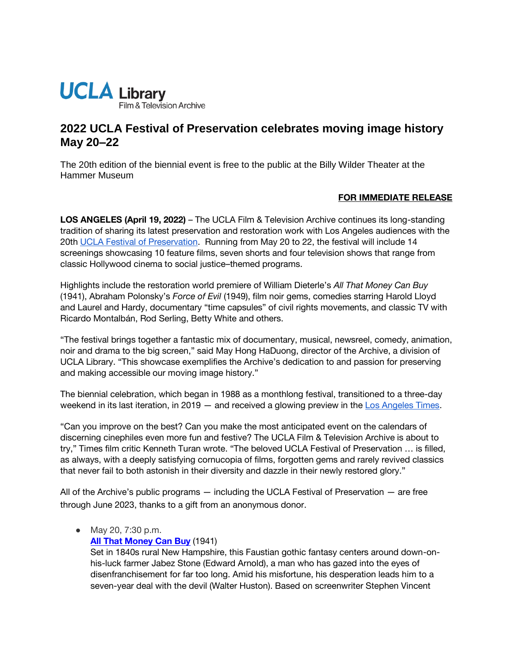

# **2022 UCLA Festival of Preservation celebrates moving image history May 20–22**

The 20th edition of the biennial event is free to the public at the Billy Wilder Theater at the Hammer Museum

## **FOR IMMEDIATE RELEASE**

**LOS ANGELES (April 19, 2022)** – The UCLA Film & Television Archive continues its long-standing tradition of sharing its latest preservation and restoration work with Los Angeles audiences with the 20t[h UCLA Festival of Preservation.](https://www.cinema.ucla.edu/events/2022/ucla-festival-of-preservation) Running from May 20 to 22, the festival will include 14 screenings showcasing 10 feature films, seven shorts and four television shows that range from classic Hollywood cinema to social justice–themed programs.

Highlights include the restoration world premiere of William Dieterle's *All That Money Can Buy* (1941), Abraham Polonsky's *Force of Evil* (1949), film noir gems, comedies starring Harold Lloyd and Laurel and Hardy, documentary "time capsules" of civil rights movements, and classic TV with Ricardo Montalbán, Rod Serling, Betty White and others.

"The festival brings together a fantastic mix of documentary, musical, newsreel, comedy, animation, noir and drama to the big screen," said May Hong HaDuong, director of the Archive, a division of UCLA Library. "This showcase exemplifies the Archive's dedication to and passion for preserving and making accessible our moving image history."

The biennial celebration, which began in 1988 as a monthlong festival, transitioned to a three-day weekend in its last iteration, in 2019 — and received a glowing preview in the [Los Angeles Times.](https://www.latimes.com/entertainment/movies/la-et-mn-ucla-festival-of-preservation-20190212-story.html)

"Can you improve on the best? Can you make the most anticipated event on the calendars of discerning cinephiles even more fun and festive? The UCLA Film & Television Archive is about to try," Times film critic Kenneth Turan wrote. "The beloved UCLA Festival of Preservation … is filled, as always, with a deeply satisfying cornucopia of films, forgotten gems and rarely revived classics that never fail to both astonish in their diversity and dazzle in their newly restored glory."

All of the Archive's public programs — including the UCLA Festival of Preservation — are free through June 2023, thanks to a gift from an anonymous donor.

● May 20, 7:30 p.m.

**[All That Money Can Buy](https://www.cinema.ucla.edu/events/2022/05/20/all-that-money-can-buy)** (1941)

Set in 1840s rural New Hampshire, this Faustian gothic fantasy centers around down-onhis-luck farmer Jabez Stone (Edward Arnold), a man who has gazed into the eyes of disenfranchisement for far too long. Amid his misfortune, his desperation leads him to a seven-year deal with the devil (Walter Huston). Based on screenwriter Stephen Vincent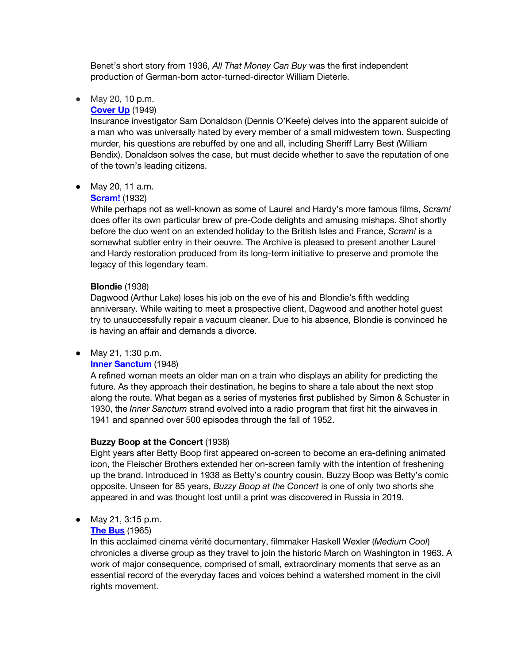Benet's short story from 1936, *All That Money Can Buy* was the first independent production of German-born actor-turned-director William Dieterle.

## ● May 20, 10 p.m.

## **[Cover Up](https://www.cinema.ucla.edu/events/2022/05/20/cover-up)** (1949)

Insurance investigator Sam Donaldson (Dennis O'Keefe) delves into the apparent suicide of a man who was universally hated by every member of a small midwestern town. Suspecting murder, his questions are rebuffed by one and all, including Sheriff Larry Best (William Bendix). Donaldson solves the case, but must decide whether to save the reputation of one of the town's leading citizens.

#### ● May 20, 11 a.m.

#### **[Scram!](https://www.cinema.ucla.edu/events/2022/05/25/scram-blondie)** (1932)

While perhaps not as well-known as some of Laurel and Hardy's more famous films, *Scram!* does offer its own particular brew of pre-Code delights and amusing mishaps. Shot shortly before the duo went on an extended holiday to the British Isles and France, *Scram!* is a somewhat subtler entry in their oeuvre. The Archive is pleased to present another Laurel and Hardy restoration produced from its long-term initiative to preserve and promote the legacy of this legendary team.

#### **Blondie** (1938)

Dagwood (Arthur Lake) loses his job on the eve of his and Blondie's fifth wedding anniversary. While waiting to meet a prospective client, Dagwood and another hotel guest try to unsuccessfully repair a vacuum cleaner. Due to his absence, Blondie is convinced he is having an affair and demands a divorce.

## ● May 21, 1:30 p.m.

## **[Inner Sanctum](https://www.cinema.ucla.edu/events/2022/05/21/buzzy-boop-inner-sanctum)** (1948)

A refined woman meets an older man on a train who displays an ability for predicting the future. As they approach their destination, he begins to share a tale about the next stop along the route. What began as a series of mysteries first published by Simon & Schuster in 1930, the *Inner Sanctum* strand evolved into a radio program that first hit the airwaves in 1941 and spanned over 500 episodes through the fall of 1952.

#### **Buzzy Boop at the Concert** (1938)

Eight years after Betty Boop first appeared on-screen to become an era-defining animated icon, the Fleischer Brothers extended her on-screen family with the intention of freshening up the brand. Introduced in 1938 as Betty's country cousin, Buzzy Boop was Betty's comic opposite. Unseen for 85 years, *Buzzy Boop at the Concert* is one of only two shorts she appeared in and was thought lost until a print was discovered in Russia in 2019.

## ● May 21, 3:15 p.m.

#### **[The Bus](https://www.cinema.ucla.edu/events/2022/05/21/hey-mama-the-bus)** (1965)

In this acclaimed cinema vérité documentary, filmmaker Haskell Wexler (*Medium Cool*) chronicles a diverse group as they travel to join the historic March on Washington in 1963. A work of major consequence, comprised of small, extraordinary moments that serve as an essential record of the everyday faces and voices behind a watershed moment in the civil rights movement.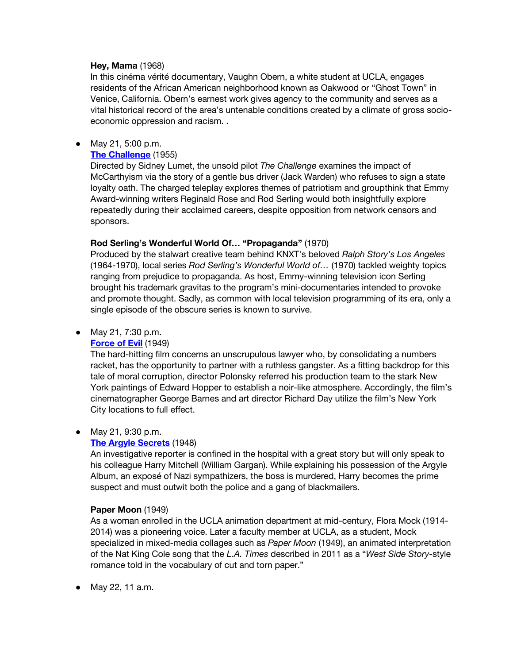## **Hey, Mama** (1968)

In this cinéma vérité documentary, Vaughn Obern, a white student at UCLA, engages residents of the African American neighborhood known as Oakwood or "Ghost Town" in Venice, California. Obern's earnest work gives agency to the community and serves as a vital historical record of the area's untenable conditions created by a climate of gross socioeconomic oppression and racism. .

#### ● May 21, 5:00 p.m.

## **[The Challenge](https://www.cinema.ucla.edu/events/2022/05/21/challenge-rod-serlings-wonderful-world-propaganda)** (1955)

Directed by Sidney Lumet, the unsold pilot *The Challenge* examines the impact of McCarthyism via the story of a gentle bus driver (Jack Warden) who refuses to sign a state loyalty oath. The charged teleplay explores themes of patriotism and groupthink that Emmy Award-winning writers Reginald Rose and Rod Serling would both insightfully explore repeatedly during their acclaimed careers, despite opposition from network censors and sponsors.

## **Rod Serling's Wonderful World Of… "Propaganda"** (1970)

Produced by the stalwart creative team behind KNXT's beloved *Ralph Story's Los Angeles*  (1964-1970), local series *Rod Serling's Wonderful World of…* (1970) tackled weighty topics ranging from prejudice to propaganda. As host, Emmy-winning television icon Serling brought his trademark gravitas to the program's mini-documentaries intended to provoke and promote thought. Sadly, as common with local television programming of its era, only a single episode of the obscure series is known to survive.

## ● May 21, 7:30 p.m.

## **[Force of Evil](https://www.cinema.ucla.edu/events/2021/05/21/force-of-evil)** (1949)

The hard-hitting film concerns an unscrupulous lawyer who, by consolidating a numbers racket, has the opportunity to partner with a ruthless gangster. As a fitting backdrop for this tale of moral corruption, director Polonsky referred his production team to the stark New York paintings of Edward Hopper to establish a noir-like atmosphere. Accordingly, the film's cinematographer George Barnes and art director Richard Day utilize the film's New York City locations to full effect.

## ● May 21, 9:30 p.m.

## **[The Argyle Secrets](https://www.cinema.ucla.edu/events/2022/05/21/paper-moon-argyle-secrets)** (1948)

An investigative reporter is confined in the hospital with a great story but will only speak to his colleague Harry Mitchell (William Gargan). While explaining his possession of the Argyle Album, an exposé of Nazi sympathizers, the boss is murdered, Harry becomes the prime suspect and must outwit both the police and a gang of blackmailers.

## **Paper Moon** (1949)

As a woman enrolled in the UCLA animation department at mid-century, Flora Mock (1914- 2014) was a pioneering voice. Later a faculty member at UCLA, as a student, Mock specialized in mixed-media collages such as *Paper Moon* (1949), an animated interpretation of the Nat King Cole song that the *L.A. Times* described in 2011 as a "*West Side Story*-style romance told in the vocabulary of cut and torn paper."

● May 22, 11 a.m.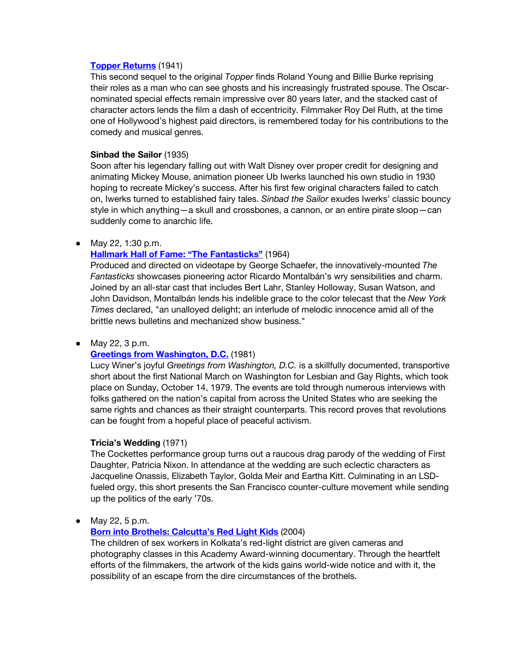#### **[Topper Returns](https://www.cinema.ucla.edu/events/2022/05/22/sinbad-sailor-topper-returns)** (1941)

This second sequel to the original *Topper* finds Roland Young and Billie Burke reprising their roles as a man who can see ghosts and his increasingly frustrated spouse. The Oscarnominated special effects remain impressive over 80 years later, and the stacked cast of character actors lends the film a dash of eccentricity. Filmmaker Roy Del Ruth, at the time one of Hollywood's highest paid directors, is remembered today for his contributions to the comedy and musical genres.

## **Sinbad the Sailor** (1935)

Soon after his legendary falling out with Walt Disney over proper credit for designing and animating Mickey Mouse, animation pioneer Ub Iwerks launched his own studio in 1930 hoping to recreate Mickey's success. After his first few original characters failed to catch on, Iwerks turned to established fairy tales. *Sinbad the Sailor* exudes Iwerks' classic bouncy style in which anything—a skull and crossbones, a cannon, or an entire pirate sloop—can suddenly come to anarchic life.

## ● May 22, 1:30 p.m.

## **[Hallmark Hall of Fame: "The Fantasticks"](https://www.cinema.ucla.edu/events/2022/05/22/the-fantasticks)** (1964)

Produced and directed on videotape by George Schaefer, the innovatively-mounted *The Fantasticks* showcases pioneering actor Ricardo Montalbán's wry sensibilities and charm. Joined by an all-star cast that includes Bert Lahr, Stanley Holloway, Susan Watson, and John Davidson, Montalbán lends his indelible grace to the color telecast that the *New York Times* declared, "an unalloyed delight; an interlude of melodic innocence amid all of the brittle news bulletins and mechanized show business."

## • May 22, 3 p.m.

## **[Greetings from Washington, D.C.](https://www.cinema.ucla.edu/events/2022/05/22/greetings-from-washington-tricias-wedding)** (1981)

Lucy Winer's joyful *Greetings from Washington, D.C.* is a skillfully documented, transportive short about the first National March on Washington for Lesbian and Gay Rights, which took place on Sunday, October 14, 1979. The events are told through numerous interviews with folks gathered on the nation's capital from across the United States who are seeking the same rights and chances as their straight counterparts. This record proves that revolutions can be fought from a hopeful place of peaceful activism.

## **Tricia's Wedding** (1971)

The Cockettes performance group turns out a raucous drag parody of the wedding of First Daughter, Patricia Nixon. In attendance at the wedding are such eclectic characters as Jacqueline Onassis, Elizabeth Taylor, Golda Meir and Eartha Kitt. Culminating in an LSDfueled orgy, this short presents the San Francisco counter-culture movement while sending up the politics of the early '70s.

● May 22, 5 p.m.

# **[Born into Brothels: Calcutta's Red Light Kids](https://www.cinema.ucla.edu/events/2022/05/22/born-into-brothels)** (2004)

The children of sex workers in Kolkata's red-light district are given cameras and photography classes in this Academy Award-winning documentary. Through the heartfelt efforts of the filmmakers, the artwork of the kids gains world-wide notice and with it, the possibility of an escape from the dire circumstances of the brothels.